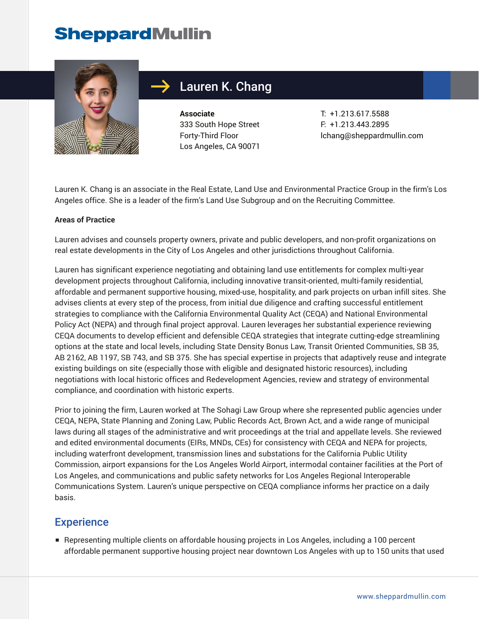# **SheppardMullin**



## Lauren K. Chang

**Associate** 333 South Hope Street Forty-Third Floor Los Angeles, CA 90071

T: +1.213.617.5588 F: +1.213.443.2895 lchang@sheppardmullin.com

Lauren K. Chang is an associate in the Real Estate, Land Use and Environmental Practice Group in the firm's Los Angeles office. She is a leader of the firm's Land Use Subgroup and on the Recruiting Committee.

#### **Areas of Practice**

Lauren advises and counsels property owners, private and public developers, and non-profit organizations on real estate developments in the City of Los Angeles and other jurisdictions throughout California.

Lauren has significant experience negotiating and obtaining land use entitlements for complex multi-year development projects throughout California, including innovative transit-oriented, multi-family residential, affordable and permanent supportive housing, mixed-use, hospitality, and park projects on urban infill sites. She advises clients at every step of the process, from initial due diligence and crafting successful entitlement strategies to compliance with the California Environmental Quality Act (CEQA) and National Environmental Policy Act (NEPA) and through final project approval. Lauren leverages her substantial experience reviewing CEQA documents to develop efficient and defensible CEQA strategies that integrate cutting-edge streamlining options at the state and local levels, including State Density Bonus Law, Transit Oriented Communities, SB 35, AB 2162, AB 1197, SB 743, and SB 375. She has special expertise in projects that adaptively reuse and integrate existing buildings on site (especially those with eligible and designated historic resources), including negotiations with local historic offices and Redevelopment Agencies, review and strategy of environmental compliance, and coordination with historic experts.

Prior to joining the firm, Lauren worked at The Sohagi Law Group where she represented public agencies under CEQA, NEPA, State Planning and Zoning Law, Public Records Act, Brown Act, and a wide range of municipal laws during all stages of the administrative and writ proceedings at the trial and appellate levels. She reviewed and edited environmental documents (EIRs, MNDs, CEs) for consistency with CEQA and NEPA for projects, including waterfront development, transmission lines and substations for the California Public Utility Commission, airport expansions for the Los Angeles World Airport, intermodal container facilities at the Port of Los Angeles, and communications and public safety networks for Los Angeles Regional Interoperable Communications System. Lauren's unique perspective on CEQA compliance informs her practice on a daily basis.

### **Experience**

■ Representing multiple clients on affordable housing projects in Los Angeles, including a 100 percent affordable permanent supportive housing project near downtown Los Angeles with up to 150 units that used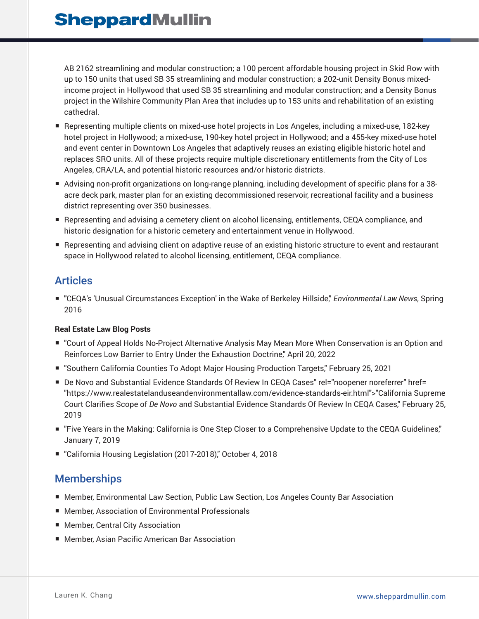AB 2162 streamlining and modular construction; a 100 percent affordable housing project in Skid Row with up to 150 units that used SB 35 streamlining and modular construction; a 202-unit Density Bonus mixedincome project in Hollywood that used SB 35 streamlining and modular construction; and a Density Bonus project in the Wilshire Community Plan Area that includes up to 153 units and rehabilitation of an existing cathedral.

- Representing multiple clients on mixed-use hotel projects in Los Angeles, including a mixed-use, 182-key hotel project in Hollywood; a mixed-use, 190-key hotel project in Hollywood; and a 455-key mixed-use hotel and event center in Downtown Los Angeles that adaptively reuses an existing eligible historic hotel and replaces SRO units. All of these projects require multiple discretionary entitlements from the City of Los Angeles, CRA/LA, and potential historic resources and/or historic districts.
- Advising non-profit organizations on long-range planning, including development of specific plans for a 38acre deck park, master plan for an existing decommissioned reservoir, recreational facility and a business district representing over 350 businesses.
- Representing and advising a cemetery client on alcohol licensing, entitlements, CEQA compliance, and historic designation for a historic cemetery and entertainment venue in Hollywood.
- Representing and advising client on adaptive reuse of an existing historic structure to event and restaurant space in Hollywood related to alcohol licensing, entitlement, CEQA compliance.

### Articles

■ **"CEQA's 'Unusual Circumstances Exception' in the Wake of Berkeley Hillside,"** *Environmental Law News***, Spring** 2016

#### **Real Estate Law Blog Posts**

- "Court of Appeal Holds No-Project Alternative Analysis May Mean More When Conservation is an Option and Reinforces Low Barrier to Entry Under the Exhaustion Doctrine," April 20, 2022
- "Southern California Counties To Adopt Major Housing Production Targets," February 25, 2021
- De Novo and Substantial Evidence Standards Of Review In CEQA Cases" rel="noopener noreferrer" href= "https://www.realestatelanduseandenvironmentallaw.com/evidence-standards-eir.html">"California Supreme Court Clarifies Scope of *De Novo* and Substantial Evidence Standards Of Review In CEQA Cases," February 25, 2019
- "Five Years in the Making: California is One Step Closer to a Comprehensive Update to the CEQA Guidelines," January 7, 2019
- "California Housing Legislation (2017-2018)," October 4, 2018

### **Memberships**

- Member, Environmental Law Section, Public Law Section, Los Angeles County Bar Association
- Member, Association of Environmental Professionals
- Member, Central City Association
- Member, Asian Pacific American Bar Association